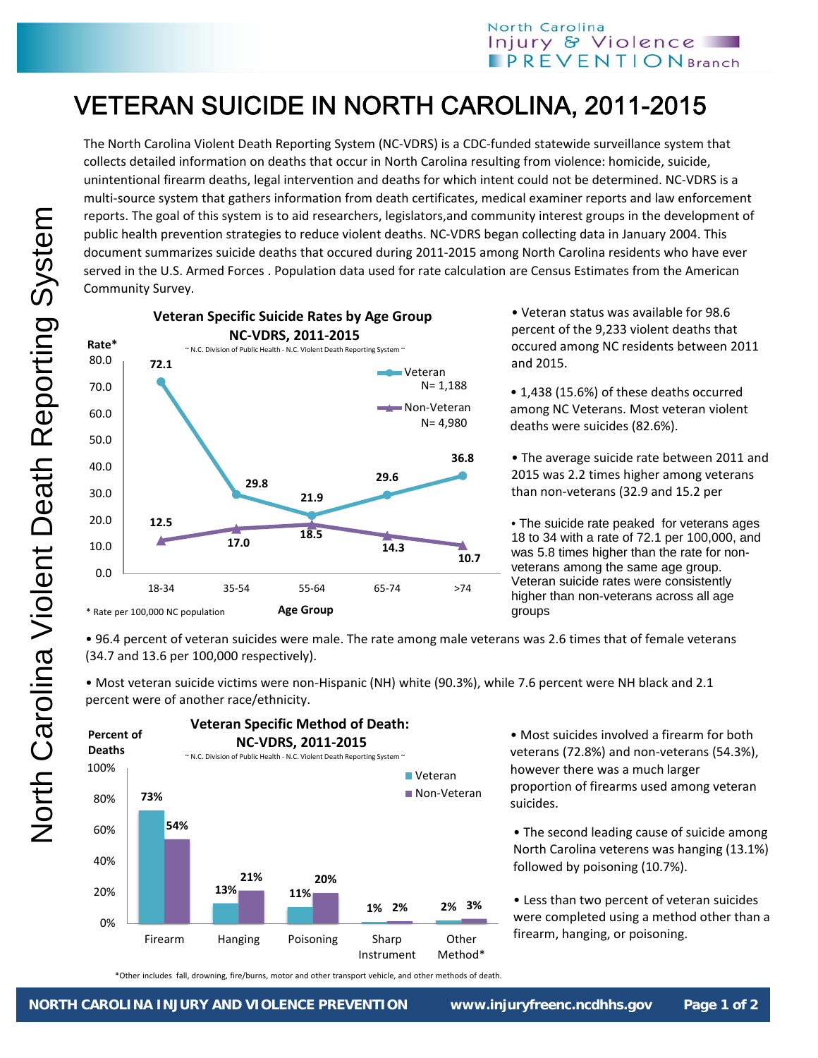## North Carolina Injury & Violence  $$

## VETERAN SUICIDE IN NORTH CAROLINA, 2011-2015

The North Carolina Violent Death Reporting System (NC‐VDRS) is a CDC‐funded statewide surveillance system that collects detailed information on deaths that occur in North Carolina resulting from violence: homicide, suicide, unintentional firearm deaths, legal intervention and deaths for which intent could not be determined. NC‐VDRS is a multi-source system that gathers information from death certificates, medical examiner reports and law enforcement reports. The goal of this system is to aid researchers, legislators,and community interest groups in the development of public health prevention strategies to reduce violent deaths. NC‐VDRS began collecting data in January 2004. This document summarizes suicide deaths that occured during 2011‐2015 among North Carolina residents who have ever served in the U.S. Armed Forces . Population data used for rate calculation are Census Estimates from the American Community Survey.



• Veteran status was available for 98.6 percent of the 9,233 violent deaths that occured among NC residents between 2011 and 2015.

• 1,438 (15.6%) of these deaths occurred among NC Veterans. Most veteran violent deaths were suicides (82.6%).

• The average suicide rate between 2011 and 2015 was 2.2 times higher among veterans than non‐veterans (32.9 and 15.2 per

• The suicide rate peaked for veterans ages 18 to 34 with a rate of 72.1 per 100,000, and was 5.8 times higher than the rate for nonveterans among the same age group. Veteran suicide rates were consistently higher than non-veterans across all age groups

• 96.4 percent of veteran suicides were male. The rate among male veterans was 2.6 times that of female veterans (34.7 and 13.6 per 100,000 respectively).

• Most veteran suicide victims were non‐Hispanic (NH) white (90.3%), while 7.6 percent were NH black and 2.1 percent were of another race/ethnicity.



• Most suicides involved a firearm for both veterans (72.8%) and non‐veterans (54.3%), however there was a much larger proportion of firearms used among veteran suicides.

• The second leading cause of suicide among North Carolina veterens was hanging (13.1%) followed by poisoning (10.7%).

• Less than two percent of veteran suicides were completed using a method other than a firearm, hanging, or poisoning.

\*Other includes fall, drowning, fire/burns, motor and other transport vehicle, and other methods of death.